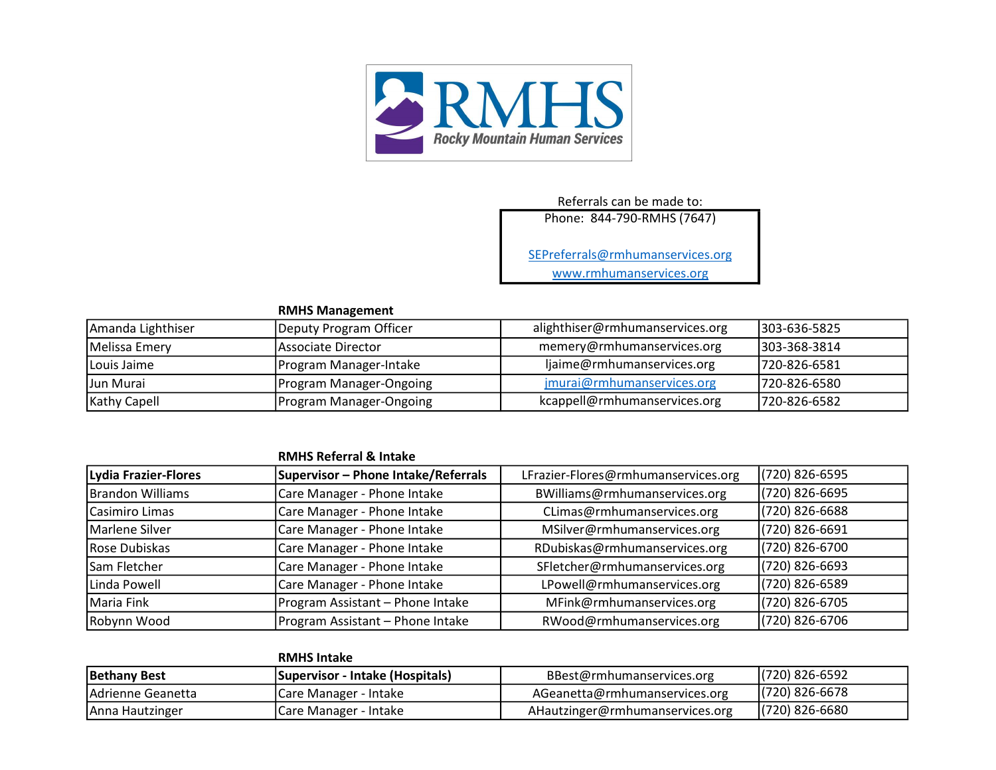

## Referrals can be made to:

Phone: 844-790-RMHS (7647)

SEPreferrals@rmhumanservices.org

www.rmhumanservices.org

## RMHS Management

| Amanda Lighthiser   | Deputy Program Officer         | alighthiser@rmhumanservices.org | 1303-636-5825 |
|---------------------|--------------------------------|---------------------------------|---------------|
| Melissa Emery       | lAssociate Director            | memery@rmhumanservices.org      | 1303-368-3814 |
| <b>ILouis Jaime</b> | Program Manager-Intake         | ljaime@rmhumanservices.org      | 1720-826-6581 |
| Jun Murai           | <b>Program Manager-Ongoing</b> | jmurai@rmhumanservices.org      | 1720-826-6580 |
| <b>Kathy Capell</b> | Program Manager-Ongoing        | kcappell@rmhumanservices.org    | 1720-826-6582 |

## RMHS Referral & Intake

| Lydia Frazier-Flores    | Supervisor - Phone Intake/Referrals | LFrazier-Flores@rmhumanservices.org | (720) 826-6595   |
|-------------------------|-------------------------------------|-------------------------------------|------------------|
| <b>Brandon Williams</b> | Care Manager - Phone Intake         | BWilliams@rmhumanservices.org       | (720) 826-6695   |
| <b>l</b> Casimiro Limas | Care Manager - Phone Intake         | CLimas@rmhumanservices.org          | (720) 826-6688   |
| Marlene Silver          | Care Manager - Phone Intake         | MSilver@rmhumanservices.org         | (720) 826-6691   |
| Rose Dubiskas           | Care Manager - Phone Intake         | RDubiskas@rmhumanservices.org       | (720) 826-6700   |
| Sam Fletcher            | Care Manager - Phone Intake         | SFletcher@rmhumanservices.org       | $(720)$ 826-6693 |
| Linda Powell            | Care Manager - Phone Intake         | LPowell@rmhumanservices.org         | (720) 826-6589   |
| <b>Maria Fink</b>       | Program Assistant - Phone Intake    | MFink@rmhumanservices.org           | (720) 826-6705   |
| Robynn Wood             | Program Assistant - Phone Intake    | RWood@rmhumanservices.org           | (720) 826-6706   |

|                    | <b>RMHS Intake</b>              |                                 |                  |
|--------------------|---------------------------------|---------------------------------|------------------|
| Bethany Best       | Supervisor - Intake (Hospitals) | BBest@rmhumanservices.org       | $(720)$ 826-6592 |
| IAdrienne Geanetta | <b>Care Manager - Intake</b>    | AGeanetta@rmhumanservices.org   | $(720)$ 826-6678 |
| Anna Hautzinger    | ICare Manager - Intake          | AHautzinger@rmhumanservices.org | $(720)$ 826-6680 |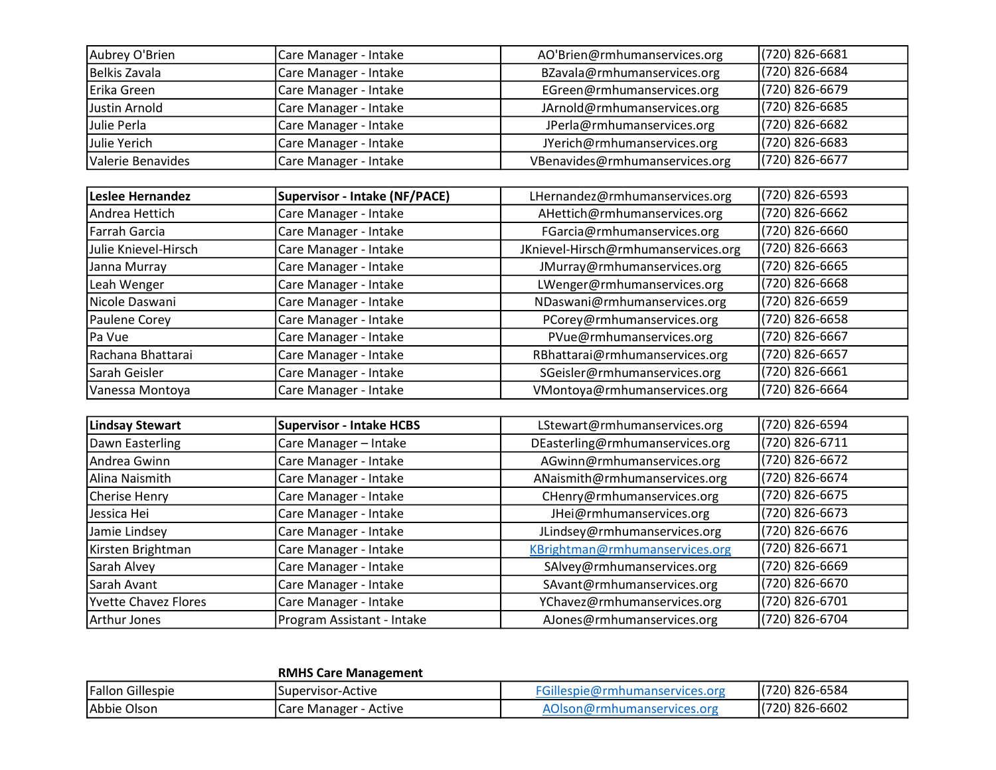| Aubrey O'Brien    | Care Manager - Intake | AO'Brien@rmhumanservices.org   | $(720)$ 826-6681 |
|-------------------|-----------------------|--------------------------------|------------------|
| Belkis Zavala     | Care Manager - Intake | BZavala@rmhumanservices.org    | (720) 826-6684   |
| Erika Green       | Care Manager - Intake | EGreen@rmhumanservices.org     | $(720)$ 826-6679 |
| Justin Arnold     | Care Manager - Intake | JArnold@rmhumanservices.org    | $(720)$ 826-6685 |
| Julie Perla       | Care Manager - Intake | JPerla@rmhumanservices.org     | (720) 826-6682   |
| Julie Yerich      | Care Manager - Intake | JYerich@rmhumanservices.org    | $(720)$ 826-6683 |
| Valerie Benavides | Care Manager - Intake | VBenavides@rmhumanservices.org | $(720)$ 826-6677 |

| Leslee Hernandez     | Supervisor - Intake (NF/PACE) | LHernandez@rmhumanservices.org      | (720) 826-6593 |
|----------------------|-------------------------------|-------------------------------------|----------------|
| Andrea Hettich       | Care Manager - Intake         | AHettich@rmhumanservices.org        | (720) 826-6662 |
| Farrah Garcia        | Care Manager - Intake         | FGarcia@rmhumanservices.org         | (720) 826-6660 |
| Julie Knievel-Hirsch | Care Manager - Intake         | JKnievel-Hirsch@rmhumanservices.org | (720) 826-6663 |
| Janna Murray         | Care Manager - Intake         | JMurray@rmhumanservices.org         | (720) 826-6665 |
| Leah Wenger          | Care Manager - Intake         | LWenger@rmhumanservices.org         | (720) 826-6668 |
| Nicole Daswani       | Care Manager - Intake         | NDaswani@rmhumanservices.org        | (720) 826-6659 |
| Paulene Corey        | Care Manager - Intake         | PCorey@rmhumanservices.org          | (720) 826-6658 |
| Pa Vue               | Care Manager - Intake         | PVue@rmhumanservices.org            | (720) 826-6667 |
| Rachana Bhattarai    | Care Manager - Intake         | RBhattarai@rmhumanservices.org      | (720) 826-6657 |
| Sarah Geisler        | Care Manager - Intake         | SGeisler@rmhumanservices.org        | (720) 826-6661 |
| Vanessa Montoya      | Care Manager - Intake         | VMontoya@rmhumanservices.org        | (720) 826-6664 |

| Lindsay Stewart             | Supervisor - Intake HCBS   | LStewart@rmhumanservices.org    | (720) 826-6594 |
|-----------------------------|----------------------------|---------------------------------|----------------|
| Dawn Easterling             | Care Manager - Intake      | DEasterling@rmhumanservices.org | (720) 826-6711 |
| Andrea Gwinn                | Care Manager - Intake      | AGwinn@rmhumanservices.org      | (720) 826-6672 |
| Alina Naismith              | Care Manager - Intake      | ANaismith@rmhumanservices.org   | (720) 826-6674 |
| Cherise Henry               | Care Manager - Intake      | CHenry@rmhumanservices.org      | (720) 826-6675 |
| Jessica Hei                 | Care Manager - Intake      | JHei@rmhumanservices.org        | (720) 826-6673 |
| Jamie Lindsey               | Care Manager - Intake      | JLindsey@rmhumanservices.org    | (720) 826-6676 |
| Kirsten Brightman           | Care Manager - Intake      | KBrightman@rmhumanservices.org  | (720) 826-6671 |
| Sarah Alvey                 | Care Manager - Intake      | SAlvey@rmhumanservices.org      | (720) 826-6669 |
| Sarah Avant                 | Care Manager - Intake      | SAvant@rmhumanservices.org      | (720) 826-6670 |
| <b>Yvette Chavez Flores</b> | Care Manager - Intake      | YChavez@rmhumanservices.org     | (720) 826-6701 |
| Arthur Jones                | Program Assistant - Intake | AJones@rmhumanservices.org      | (720) 826-6704 |

## RMHS Care Management

| <b>Fallon Gillespie</b> | ISupervisor-Active          | ---<br>inservices.org<br>dillesbir. '<br>wa | $(720)$ 826-6584 |
|-------------------------|-----------------------------|---------------------------------------------|------------------|
| Abbie Olson             | : - Active<br>Care Manager, | umanservices.org                            | (720) 826-6602   |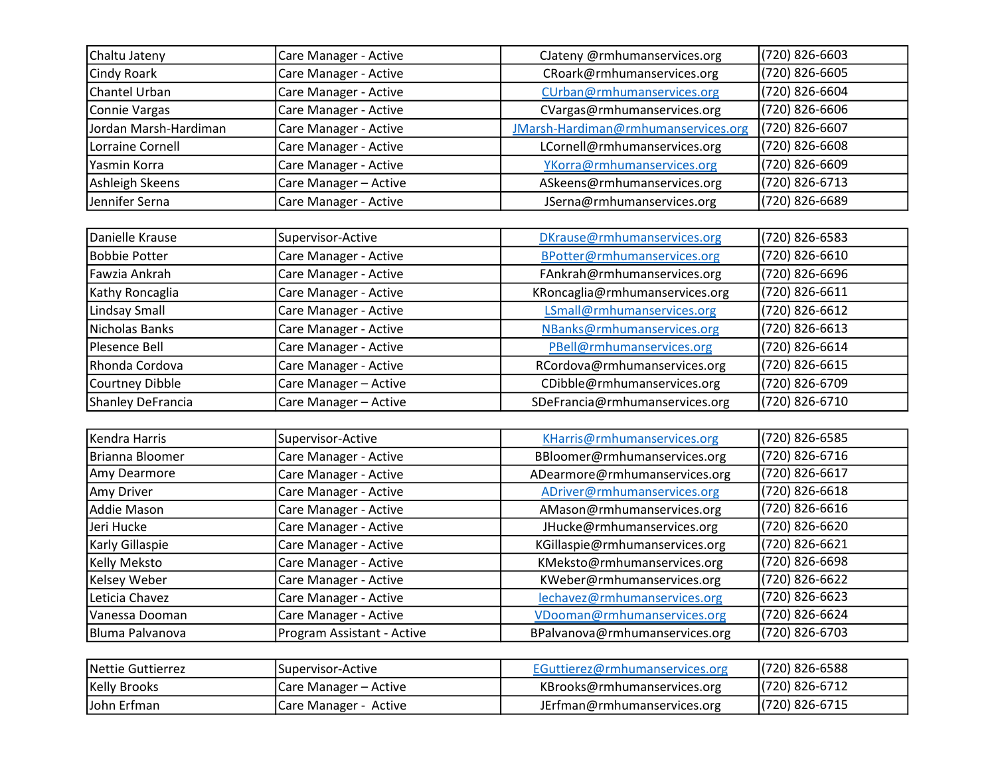| Chaltu Jateny         | Care Manager - Active | Clateny @rmhumanservices.org        | (720) 826-6603 |
|-----------------------|-----------------------|-------------------------------------|----------------|
| <b>Cindy Roark</b>    | Care Manager - Active | CRoark@rmhumanservices.org          | (720) 826-6605 |
| Chantel Urban         | Care Manager - Active | CUrban@rmhumanservices.org          | (720) 826-6604 |
| Connie Vargas         | Care Manager - Active | CVargas@rmhumanservices.org         | (720) 826-6606 |
| Jordan Marsh-Hardiman | Care Manager - Active | JMarsh-Hardiman@rmhumanservices.org | (720) 826-6607 |
| Lorraine Cornell      | Care Manager - Active | LCornell@rmhumanservices.org        | (720) 826-6608 |
| Yasmin Korra          | Care Manager - Active | YKorra@rmhumanservices.org          | (720) 826-6609 |
| Ashleigh Skeens       | Care Manager - Active | ASkeens@rmhumanservices.org         | (720) 826-6713 |
| Jennifer Serna        | Care Manager - Active | JSerna@rmhumanservices.org          | (720) 826-6689 |

| Danielle Krause   | Supervisor-Active     | DKrause@rmhumanservices.org    | (720) 826-6583   |
|-------------------|-----------------------|--------------------------------|------------------|
| Bobbie Potter     | Care Manager - Active | BPotter@rmhumanservices.org    | (720) 826-6610   |
| Fawzia Ankrah     | Care Manager - Active | FAnkrah@rmhumanservices.org    | (720) 826-6696   |
| Kathy Roncaglia   | Care Manager - Active | KRoncaglia@rmhumanservices.org | (720) 826-6611   |
| Lindsay Small     | Care Manager - Active | LSmall@rmhumanservices.org     | (720) 826-6612   |
| Nicholas Banks    | Care Manager - Active | NBanks@rmhumanservices.org     | $(720)$ 826-6613 |
| Plesence Bell     | Care Manager - Active | PBell@rmhumanservices.org      | (720) 826-6614   |
| Rhonda Cordova    | Care Manager - Active | RCordova@rmhumanservices.org   | (720) 826-6615   |
| Courtney Dibble   | Care Manager - Active | CDibble@rmhumanservices.org    | (720) 826-6709   |
| Shanley DeFrancia | Care Manager - Active | SDeFrancia@rmhumanservices.org | (720) 826-6710   |

| Kendra Harris   | Supervisor-Active          | KHarris@rmhumanservices.org    | (720) 826-6585 |
|-----------------|----------------------------|--------------------------------|----------------|
| Brianna Bloomer | Care Manager - Active      | BBloomer@rmhumanservices.org   | (720) 826-6716 |
| Amy Dearmore    | Care Manager - Active      | ADearmore@rmhumanservices.org  | (720) 826-6617 |
| Amy Driver      | Care Manager - Active      | ADriver@rmhumanservices.org    | (720) 826-6618 |
| Addie Mason     | Care Manager - Active      | AMason@rmhumanservices.org     | (720) 826-6616 |
| Jeri Hucke      | Care Manager - Active      | JHucke@rmhumanservices.org     | (720) 826-6620 |
| Karly Gillaspie | Care Manager - Active      | KGillaspie@rmhumanservices.org | (720) 826-6621 |
| Kelly Meksto    | Care Manager - Active      | KMeksto@rmhumanservices.org    | (720) 826-6698 |
| Kelsey Weber    | Care Manager - Active      | KWeber@rmhumanservices.org     | (720) 826-6622 |
| Leticia Chavez  | Care Manager - Active      | lechavez@rmhumanservices.org   | (720) 826-6623 |
| Vanessa Dooman  | Care Manager - Active      | VDooman@rmhumanservices.org    | (720) 826-6624 |
| Bluma Palvanova | Program Assistant - Active | BPalvanova@rmhumanservices.org | (720) 826-6703 |

| <b>INettie Guttierrez</b> | <u> 'Supervisor-Active</u> | EGuttierez@rmhumanservices.org | (720) 826-6588 |
|---------------------------|----------------------------|--------------------------------|----------------|
| Kelly Brooks              | Care Manager – Active      | KBrooks@rmhumanservices.org    | (720) 826-6712 |
| John Erfman               | Care Manager - Active      | JErfman@rmhumanservices.org    | (720) 826-6715 |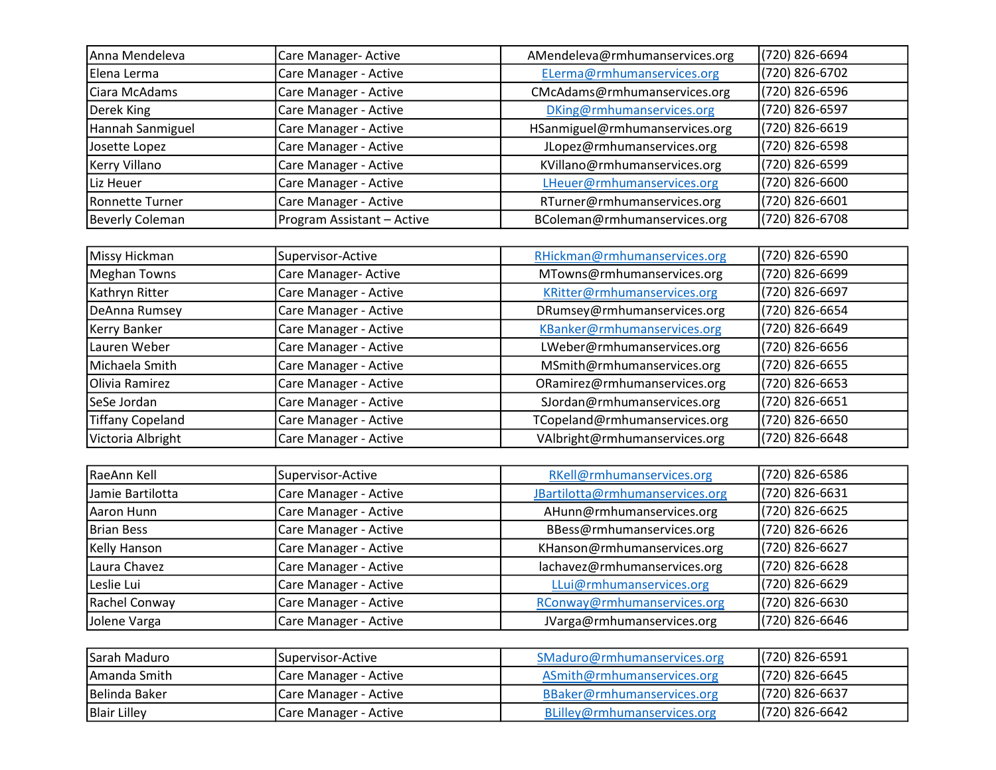| Anna Mendeleva        | Care Manager- Active       | AMendeleva@rmhumanservices.org | (720) 826-6694 |
|-----------------------|----------------------------|--------------------------------|----------------|
| Elena Lerma           | Care Manager - Active      | ELerma@rmhumanservices.org     | (720) 826-6702 |
| Ciara McAdams         | Care Manager - Active      | CMcAdams@rmhumanservices.org   | (720) 826-6596 |
| Derek King            | Care Manager - Active      | DKing@rmhumanservices.org      | (720) 826-6597 |
| Hannah Sanmiguel      | Care Manager - Active      | HSanmiguel@rmhumanservices.org | (720) 826-6619 |
| Josette Lopez         | Care Manager - Active      | JLopez@rmhumanservices.org     | (720) 826-6598 |
| Kerry Villano         | Care Manager - Active      | KVillano@rmhumanservices.org   | (720) 826-6599 |
| Liz Heuer             | Care Manager - Active      | LHeuer@rmhumanservices.org     | (720) 826-6600 |
| Ronnette Turner       | Care Manager - Active      | RTurner@rmhumanservices.org    | (720) 826-6601 |
| Beverly Coleman       | Program Assistant - Active | BColeman@rmhumanservices.org   | (720) 826-6708 |
|                       |                            |                                |                |
| <b>IMissy Hickman</b> | ISunervisor-Active         | RHickman@rmhumanservices.org   | (720) 826-6590 |

| Missy Hickman           | Supervisor-Active     | RHickman@rmhumanservices.org  | (720) 826-6590   |
|-------------------------|-----------------------|-------------------------------|------------------|
| Meghan Towns            | Care Manager- Active  | MTowns@rmhumanservices.org    | (720) 826-6699   |
| Kathryn Ritter          | Care Manager - Active | KRitter@rmhumanservices.org   | (720) 826-6697   |
| DeAnna Rumsey           | Care Manager - Active | DRumsey@rmhumanservices.org   | (720) 826-6654   |
| Kerry Banker            | Care Manager - Active | KBanker@rmhumanservices.org   | (720) 826-6649   |
| Lauren Weber            | Care Manager - Active | LWeber@rmhumanservices.org    | (720) 826-6656   |
| Michaela Smith          | Care Manager - Active | MSmith@rmhumanservices.org    | (720) 826-6655   |
| Olivia Ramirez          | Care Manager - Active | ORamirez@rmhumanservices.org  | (720) 826-6653   |
| SeSe Jordan             | Care Manager - Active | SJordan@rmhumanservices.org   | (720) 826-6651   |
| <b>Tiffany Copeland</b> | Care Manager - Active | TCopeland@rmhumanservices.org | (720) 826-6650   |
| Victoria Albright       | Care Manager - Active | VAlbright@rmhumanservices.org | $(720)$ 826-6648 |

| RaeAnn Kell       | Supervisor-Active     | RKell@rmhumanservices.org       | (720) 826-6586 |
|-------------------|-----------------------|---------------------------------|----------------|
| Jamie Bartilotta  | Care Manager - Active | JBartilotta@rmhumanservices.org | (720) 826-6631 |
| Aaron Hunn        | Care Manager - Active | AHunn@rmhumanservices.org       | (720) 826-6625 |
| <b>Brian Bess</b> | Care Manager - Active | BBess@rmhumanservices.org       | (720) 826-6626 |
| Kelly Hanson      | Care Manager - Active | KHanson@rmhumanservices.org     | (720) 826-6627 |
| Laura Chavez      | Care Manager - Active | lachavez@rmhumanservices.org    | (720) 826-6628 |
| Leslie Lui        | Care Manager - Active | LLui@rmhumanservices.org        | (720) 826-6629 |
| Rachel Conway     | Care Manager - Active | RConway@rmhumanservices.org     | (720) 826-6630 |
| Jolene Varga      | Care Manager - Active | JVarga@rmhumanservices.org      | (720) 826-6646 |

| ISarah Maduro         | ISupervisor-Active           | SMaduro@rmhumanservices.org | (720) 826-6591 |
|-----------------------|------------------------------|-----------------------------|----------------|
| IAmanda Smith         | Care Manager - Active        | ASmith@rmhumanservices.org  | (720) 826-6645 |
| <b>IBelinda Baker</b> | Care Manager - Active        | BBaker@rmhumanservices.org  | (720) 826-6637 |
| <b>Blair Lilley</b>   | <b>Care Manager - Active</b> | BLilley@rmhumanservices.org | (720) 826-6642 |